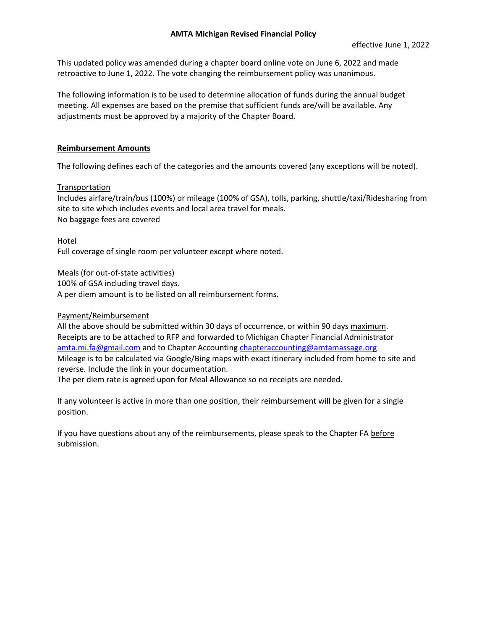### **AMTA Michigan Revised Financial Policy**

This updated policy was amended during a chapter board online vote on June 6, 2022 and made retroactive to June 1, 2022. The vote changing the reimbursement policy was unanimous.

The following information is to be used to determine allocation of funds during the annual budget meeting. All expenses are based on the premise that sufficient funds are/will be available. Any adjustments must be approved by a majority of the Chapter Board.

# **Reimbursement Amounts**

The following defines each of the categories and the amounts covered (any exceptions will be noted).

### **Transportation**

Includes airfare/train/bus (100%) or mileage (100% of GSA), tolls, parking, shuttle/taxi/Ridesharing from site to site which includes events and local area travel for meals. No baggage fees are covered

Hotel Full coverage of single room per volunteer except where noted.

Meals (for out-of-state activities)

100% of GSA including travel days.

A per diem amount is to be listed on all reimbursement forms.

# Payment/Reimbursement

All the above should be submitted within 30 days of occurrence, or within 90 days maximum. Receipts are to be attached to RFP and forwarded to Michigan Chapter Financial Administrator [amta.mi.fa@gmail.com](file:///C:/Users/ohcka/Desktop/AMTA%20MI%20Financial%20in%20process/amta.mi.fa@gmail.com) and to Chapter Accounting [chapteraccounting@amtamassage.org](file:///C:/Users/ohcka/Desktop/AMTA%20MI%20Financial%20in%20process/chapteraccounting@amtamassage.org) Mileage is to be calculated via Google/Bing maps with exact itinerary included from home to site and reverse. Include the link in your documentation.

The per diem rate is agreed upon for Meal Allowance so no receipts are needed.

If any volunteer is active in more than one position, their reimbursement will be given for a single position.

If you have questions about any of the reimbursements, please speak to the Chapter FA before submission.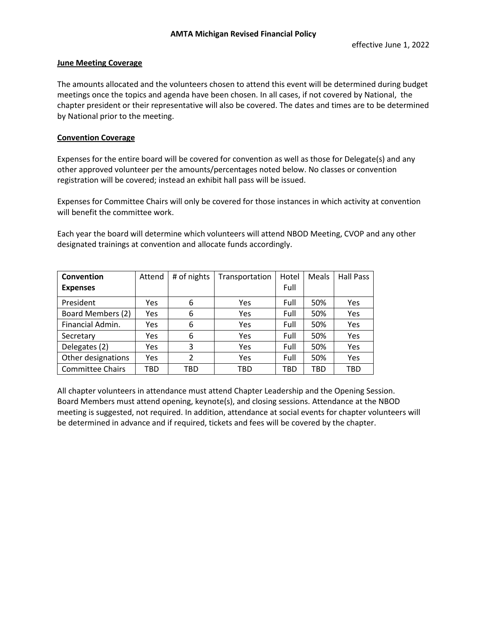### **June Meeting Coverage**

The amounts allocated and the volunteers chosen to attend this event will be determined during budget meetings once the topics and agenda have been chosen. In all cases, if not covered by National, the chapter president or their representative will also be covered. The dates and times are to be determined by National prior to the meeting.

# **Convention Coverage**

Expenses for the entire board will be covered for convention as well as those for Delegate(s) and any other approved volunteer per the amounts/percentages noted below. No classes or convention registration will be covered; instead an exhibit hall pass will be issued.

Expenses for Committee Chairs will only be covered for those instances in which activity at convention will benefit the committee work.

Each year the board will determine which volunteers will attend NBOD Meeting, CVOP and any other designated trainings at convention and allocate funds accordingly.

| Convention              | Attend | # of nights              | Transportation | Hotel | Meals | <b>Hall Pass</b> |
|-------------------------|--------|--------------------------|----------------|-------|-------|------------------|
| <b>Expenses</b>         |        |                          |                | Full  |       |                  |
| President               | Yes    | 6                        | Yes            | Full  | 50%   | Yes              |
| Board Members (2)       | Yes    | 6                        | Yes            | Full  | 50%   | Yes              |
| Financial Admin.        | Yes    | 6                        | Yes            | Full  | 50%   | Yes              |
| Secretary               | Yes    | 6                        | Yes            | Full  | 50%   | Yes              |
| Delegates (2)           | Yes    | 3                        | Yes            | Full  | 50%   | Yes              |
| Other designations      | Yes    | $\overline{\phantom{a}}$ | Yes            | Full  | 50%   | Yes              |
| <b>Committee Chairs</b> | TBD    | TBD                      | TBD            | TBD   | TBD   | TBD              |

All chapter volunteers in attendance must attend Chapter Leadership and the Opening Session. Board Members must attend opening, keynote(s), and closing sessions. Attendance at the NBOD meeting is suggested, not required. In addition, attendance at social events for chapter volunteers will be determined in advance and if required, tickets and fees will be covered by the chapter.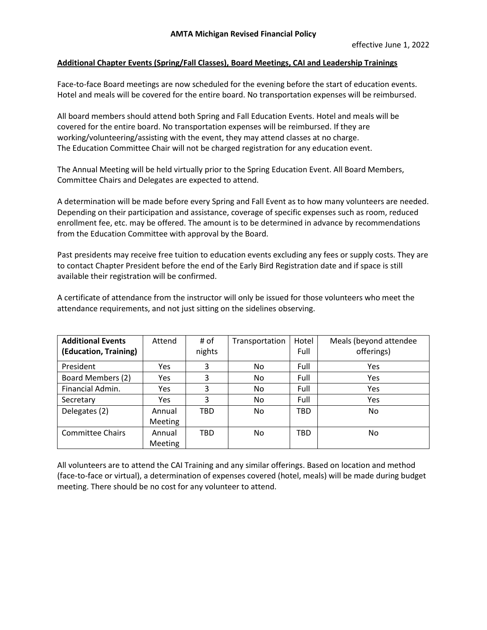### **Additional Chapter Events (Spring/Fall Classes), Board Meetings, CAI and Leadership Trainings**

Face-to-face Board meetings are now scheduled for the evening before the start of education events. Hotel and meals will be covered for the entire board. No transportation expenses will be reimbursed.

All board members should attend both Spring and Fall Education Events. Hotel and meals will be covered for the entire board. No transportation expenses will be reimbursed. If they are working/volunteering/assisting with the event, they may attend classes at no charge. The Education Committee Chair will not be charged registration for any education event.

The Annual Meeting will be held virtually prior to the Spring Education Event. All Board Members, Committee Chairs and Delegates are expected to attend.

A determination will be made before every Spring and Fall Event as to how many volunteers are needed. Depending on their participation and assistance, coverage of specific expenses such as room, reduced enrollment fee, etc. may be offered. The amount is to be determined in advance by recommendations from the Education Committee with approval by the Board.

Past presidents may receive free tuition to education events excluding any fees or supply costs. They are to contact Chapter President before the end of the Early Bird Registration date and if space is still available their registration will be confirmed.

A certificate of attendance from the instructor will only be issued for those volunteers who meet the attendance requirements, and not just sitting on the sidelines observing.

| <b>Additional Events</b> | Attend         | # of   | Transportation | Hotel      | Meals (beyond attendee |  |
|--------------------------|----------------|--------|----------------|------------|------------------------|--|
| (Education, Training)    |                | nights |                | Full       | offerings)             |  |
| President                | Yes            | 3      | No.            | Full       | Yes                    |  |
| Board Members (2)        | Yes            | 3      | No.            | Full       | Yes                    |  |
| Financial Admin.         | <b>Yes</b>     | 3      | No.            | Full       | Yes                    |  |
| Secretary                | Yes            | 3      | No.            | Full       | Yes                    |  |
| Delegates (2)            | Annual         | TBD    | No.            | <b>TBD</b> | No.                    |  |
|                          | <b>Meeting</b> |        |                |            |                        |  |
| <b>Committee Chairs</b>  | Annual         | TBD    | No.            | TBD        | No.                    |  |
|                          | <b>Meeting</b> |        |                |            |                        |  |

All volunteers are to attend the CAI Training and any similar offerings. Based on location and method (face-to-face or virtual), a determination of expenses covered (hotel, meals) will be made during budget meeting. There should be no cost for any volunteer to attend.